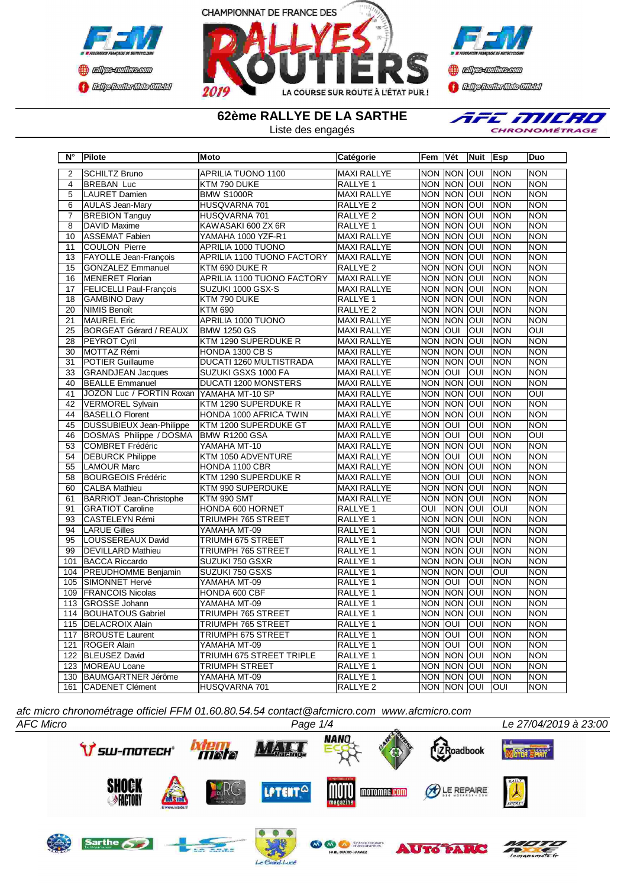



**Confederation Complementation** 

**62ème RALLYE DE LA SARTHE**

Liste des engagés



| $N^{\circ}$     | Pilote                         | <b>IMoto</b>                      | Catégorie           | Fem                     | Vét            | <b>Nuit</b>             | <b>Esp</b>  | Duo                     |
|-----------------|--------------------------------|-----------------------------------|---------------------|-------------------------|----------------|-------------------------|-------------|-------------------------|
| $\overline{2}$  | <b>SCHILTZ Bruno</b>           | <b>APRILIA TUONO 1100</b>         | <b>MAXI RALLYE</b>  | <b>NON</b>              | <b>NON OUI</b> |                         | <b>NON</b>  | <b>NON</b>              |
| 4               | <b>BREBAN Luc</b>              | KTM 790 DUKE                      | RALLYE <sub>1</sub> |                         | NON NON OUI    |                         | <b>NON</b>  | <b>NON</b>              |
| 5               | <b>LAURET Damien</b>           | <b>BMW S1000R</b>                 | <b>MAXI RALLYE</b>  | <b>NON</b>              | <b>NON</b>     | loui                    | <b>NON</b>  | <b>NON</b>              |
| 6               | <b>AULAS Jean-Mary</b>         | HUSQVARNA 701                     | <b>RALLYE 2</b>     | <b>NON</b>              | <b>NON</b>     | loui                    | <b>NON</b>  | <b>NON</b>              |
| $\overline{7}$  | <b>BREBION Tanguy</b>          | HUSQVARNA 701                     | RALLYE <sub>2</sub> | <b>NON</b>              | <b>NON</b>     | loui                    | Inon        | <b>NON</b>              |
| $\overline{8}$  | <b>DAVID Maxime</b>            | KAWASAKI 600 ZX 6R                | <b>RALLYE 1</b>     | <b>NON</b>              | <b>NON</b>     | <b>OUI</b>              | <b>NON</b>  | <b>NON</b>              |
| 10              | <b>ASSEMAT Fabien</b>          | YAMAHA 1000 YZF-R1                | <b>MAXI RALLYE</b>  | <b>NON</b>              | <b>NON</b>     | loui                    | <b>NON</b>  | <b>NON</b>              |
| 11              | <b>COULON Pierre</b>           | <b>APRILIA 1000 TUONO</b>         | <b>MAXI RALLYE</b>  | <b>NON</b>              | <b>NON</b>     | loui                    | <b>NON</b>  | <b>NON</b>              |
| 13              | <b>FAYOLLE Jean-François</b>   | APRILIA 1100 TUONO FACTORY        | <b>MAXI RALLYE</b>  | <b>NON</b>              | <b>NON OUI</b> |                         | <b>NON</b>  | <b>NON</b>              |
| 15              | <b>GONZALEZ Emmanuel</b>       | KTM 690 DUKE R                    | <b>RALLYE 2</b>     | <b>NON</b>              | <b>NON</b>     | loui                    | <b>NON</b>  | <b>NON</b>              |
| 16              | MENERET Florian                | <b>APRILIA 1100 TUONO FACTORY</b> | <b>MAXI RALLYE</b>  |                         | <b>NON NON</b> | $\overline{10}$         | <b>NON</b>  | <b>NON</b>              |
| 17              | <b>FELICELLI Paul-Francois</b> | SUZUKI 1000 GSX-S                 | <b>MAXI RALLYE</b>  | <b>NON</b>              | <b>INON</b>    | loui                    | <b>NON</b>  | <b>NON</b>              |
| 18              | <b>GAMBINO Davy</b>            | KTM 790 DUKE                      | RALLYE <sub>1</sub> |                         | <b>NON NON</b> | loui                    | <b>NON</b>  | <b>NON</b>              |
| 20              | NIMIS Benoît                   | <b>KTM 690</b>                    | RALLYE <sub>2</sub> |                         | NON NON        | loui                    | <b>NON</b>  | <b>NON</b>              |
| 21              | <b>MAUREL Eric</b>             | APRILIA 1000 TUONO                | <b>MAXI RALLYE</b>  | <b>NON</b>              | <b>NON</b>     | loui                    | Inon        | <b>NON</b>              |
| $\overline{25}$ | <b>BORGEAT Gérard / REAUX</b>  | <b>BMW 1250 GS</b>                | <b>MAXI RALLYE</b>  | <b>NON</b>              | loui           | OUI                     | <b>NON</b>  | $\overline{O}$          |
| 28              | PEYROT Cyril                   | KTM 1290 SUPERDUKE R              | <b>MAXI RALLYE</b>  | <b>NON</b>              | <b>NON</b>     | loui                    | Inon        | <b>NON</b>              |
| 30              | MOTTAZ Rémi                    | HONDA 1300 CB S                   | <b>MAXI RALLYE</b>  |                         | <b>NON NON</b> | loui                    | <b>NON</b>  | <b>NON</b>              |
| 31              | <b>POTIER Guillaume</b>        | <b>DUCATI 1260 MULTISTRADA</b>    | <b>MAXI RALLYE</b>  | <b>NON</b>              | <b>NON</b>     | loui                    | <b>NON</b>  | <b>NON</b>              |
| $\overline{33}$ | <b>GRANDJEAN Jacques</b>       | SUZUKI GSXS 1000 FA               | <b>MAXI RALLYE</b>  | <b>NON</b>              | loui           | OUI                     | <b>NON</b>  | <b>NON</b>              |
| 40              | <b>BEALLE Emmanuel</b>         | <b>DUCATI 1200 MONSTERS</b>       | <b>MAXI RALLYE</b>  | <b>NON</b>              | <b>NON</b>     | loui                    | <b>NON</b>  | <b>NON</b>              |
| $\overline{41}$ | JOZON Luc / FORTIN Roxan       | YAMAHA MT-10 SP                   | <b>MAXI RALLYE</b>  | <b>NON</b>              | <b>INON</b>    | loui                    | <b>NON</b>  | $\overline{\text{OUI}}$ |
| 42              | <b>VERMOREL Sylvain</b>        | KTM 1290 SUPERDUKE R              | <b>MAXI RALLYE</b>  |                         | <b>NON NON</b> | loui                    | <b>NON</b>  | <b>NON</b>              |
| 44              | <b>BASELLO Florent</b>         | HONDA 1000 AFRICA TWIN            | <b>MAXI RALLYE</b>  | <b>NON</b>              | <b>NON</b>     | loui                    | <b>NON</b>  | <b>NON</b>              |
| 45              | DUSSUBIEUX Jean-Philippe       | KTM 1200 SUPERDUKE GT             | <b>MAXI RALLYE</b>  | <b>NON</b>              | loui           | OUI                     | <b>NON</b>  | <b>NON</b>              |
| 46              | DOSMAS Philippe / DOSMA        | BMW R1200 GSA                     | <b>MAXI RALLYE</b>  | <b>NON</b>              | loui           | OUI                     | <b>INON</b> | OUI                     |
| 53              | <b>COMBRET Frédéric</b>        | YAMAHA MT-10                      | <b>MAXI RALLYE</b>  | <b>NON</b>              | <b>NON</b>     | loui                    | <b>NON</b>  | <b>NON</b>              |
| 54              | <b>DEBURCK Philippe</b>        | KTM 1050 ADVENTURE                | <b>MAXI RALLYE</b>  | <b>NON</b>              | loui           | OUI                     | <b>NON</b>  | <b>NON</b>              |
| 55              | <b>LAMOUR Marc</b>             | HONDA 1100 CBR                    | <b>MAXI RALLYE</b>  | <b>NON</b>              | <b>NON</b>     | loui                    | <b>NON</b>  | <b>NON</b>              |
| 58              | <b>BOURGEOIS Frédéric</b>      | KTM 1290 SUPERDUKE R              | <b>MAXI RALLYE</b>  | <b>NON</b>              | IOUI           | <b>OUI</b>              | <b>NON</b>  | <b>NON</b>              |
| 60              | <b>CALBA</b> Mathieu           | KTM 990 SUPERDUKE                 | <b>MAXI RALLYE</b>  | <b>NON</b>              | <b>INON</b>    | loui                    | <b>NON</b>  | <b>NON</b>              |
| 61              | <b>BARRIOT Jean-Christophe</b> | KTM 990 SMT                       | <b>MAXI RALLYE</b>  |                         | <b>NON NON</b> | loui                    | <b>NON</b>  | <b>NON</b>              |
| 91              | <b>GRATIOT Caroline</b>        | HONDA 600 HORNET                  | RALLYE 1            | $\overline{\text{out}}$ | <b>NON</b>     | loui                    | loui        | <b>NON</b>              |
| 93              | <b>CASTELEYN Rémi</b>          | TRIUMPH 765 STREET                | RALLYE 1            |                         | NON NON        | loui                    | <b>NON</b>  | <b>NON</b>              |
| 94              | <b>LARUE Gilles</b>            | YAMAHA MT-09                      | RALLYE 1            | <b>NON</b>              | loui           | OUI                     | <b>NON</b>  | <b>NON</b>              |
| 95              | LOUSSEREAUX David              | <b>TRIUMH 675 STREET</b>          | RALLYE <sub>1</sub> | <b>NON</b>              | <b>NON</b>     | loui                    | <b>NON</b>  | <b>NON</b>              |
| 99              | <b>DEVILLARD Mathieu</b>       | TRIUMPH 765 STREET                | RALLYE 1            | <b>NON</b>              | <b>NON</b>     | loui                    | <b>NON</b>  | <b>NON</b>              |
| 101             | <b>BACCA Riccardo</b>          | SUZUKI 750 GSXR                   | RALLYE <sub>1</sub> | <b>NON</b>              | <b>NON</b>     | loui                    | <b>NON</b>  | <b>NON</b>              |
| 104             | <b>PREUDHOMME Benjamin</b>     | SUZUKI 750 GSXS                   | RALLYE 1            |                         | NON NON        | lon                     | OUI         | <b>NON</b>              |
| 105             | SIMONNET Hervé                 | YAMAHA MT-09                      | RALLYE 1            | <b>NON</b>              | loui           | $\overline{\text{OUI}}$ | <b>NON</b>  | <b>NON</b>              |
| 109             | <b>FRANCOIS Nicolas</b>        | HONDA 600 CBF                     | RALLYE <sub>1</sub> | <b>NON</b>              | <b>NON</b>     | lon                     | <b>NON</b>  | <b>NON</b>              |
| 113             | <b>GROSSE Johann</b>           | YAMAHA MT-09                      | RALLYE 1            | <b>NON</b>              | <b>NON</b>     | loui                    | Inon        | <b>NON</b>              |
| 114             | <b>BOUHATOUS Gabriel</b>       | <b>TRIUMPH 765 STREET</b>         | RALLYE <sub>1</sub> | <b>NON</b>              | <b>NON</b>     | loui                    | <b>NON</b>  | <b>NON</b>              |
| 115             | <b>DELACROIX Alain</b>         | TRIUMPH 765 STREET                | RALLYE <sub>1</sub> | <b>NON</b>              | loui           | OUI                     | <b>NON</b>  | <b>NON</b>              |
| 117             | <b>BROUSTE Laurent</b>         | TRIUMPH 675 STREET                | RALLYE 1            | <b>NON</b>              | loui           | OUI                     | <b>NON</b>  | <b>NON</b>              |
| 121             | <b>ROGER Alain</b>             | YAMAHA MT-09                      | RALLYE 1            | <b>NON</b>              | loui           | <b>OUI</b>              | <b>NON</b>  | <b>NON</b>              |
| 122             | <b>BLEUSEZ David</b>           | TRIUMH 675 STREET TRIPLE          | RALLYE <sub>1</sub> | <b>NON</b>              | <b>NON</b>     | <b>OUI</b>              | <b>NON</b>  | <b>NON</b>              |
| 123             | <b>MOREAU Loane</b>            | TRIUMPH STREET                    | RALLYE 1            | <b>NON</b>              | <b>NON</b>     | <b>OUI</b>              | <b>NON</b>  | <b>NON</b>              |
| 130             | BAUMGARTNER Jérôme             | YAMAHA MT-09                      | RALLYE 1            | <b>NON</b>              | <b>NON</b>     | OUI                     | <b>NON</b>  | <b>NON</b>              |
| 161             | <b>CADENET Clément</b>         | HUSQVARNA 701                     | <b>RALLYE 2</b>     |                         | NON NON OUI    |                         | loui        | <b>NON</b>              |

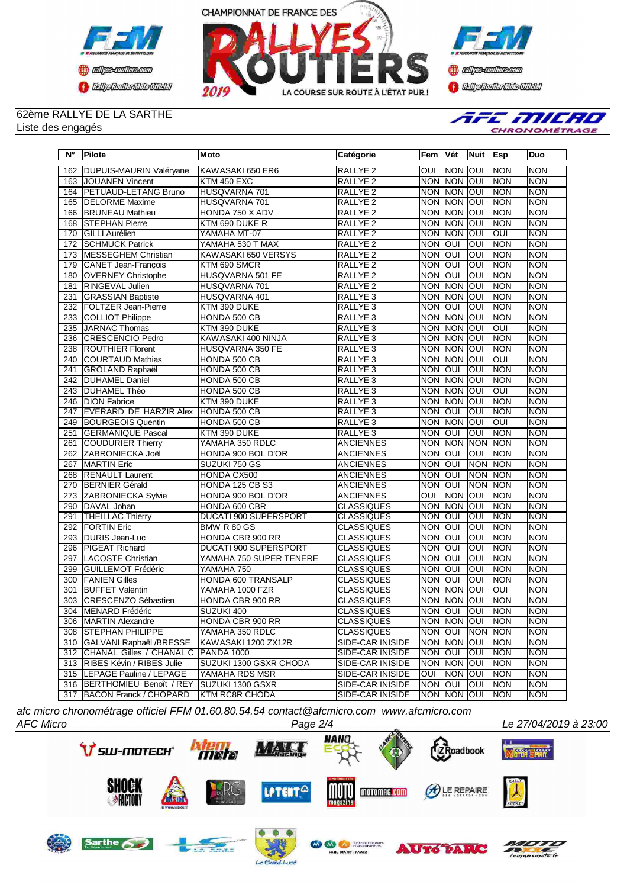



**Confederation Complementation** 

## 62ème RALLYE DE LA SARTHE Liste des engagés



| $N^\circ$        | Pilote                        | Moto                         | Catégorie           | Fem            | Vét            | Nuit            | <b>Esp</b> | Duo        |
|------------------|-------------------------------|------------------------------|---------------------|----------------|----------------|-----------------|------------|------------|
| 162              | DUPUIS-MAURIN Valéryane       | KAWASAKI 650 ER6             | RALLYE <sub>2</sub> | OUI            | Inon           | loui            | <b>NON</b> | <b>NON</b> |
| 163              | <b>JOUANEN Vincent</b>        | KTM 450 EXC                  | <b>RALLYE 2</b>     | <b>NON</b>     | <b>NON</b>     | loui            | <b>NON</b> | <b>NON</b> |
| 164              | PETUAUD-LETANG Bruno          | HUSQVARNA 701                | RALLYE <sub>2</sub> | <b>NON</b>     | <b>NON</b>     | loui            | <b>NON</b> | <b>NON</b> |
| 165              | <b>DELORME</b> Maxime         | HUSQVARNA 701                | <b>RALLYE 2</b>     | <b>NON</b>     | <b>NON</b>     | loui            | <b>NON</b> | <b>NON</b> |
| 166              | <b>BRUNEAU Mathieu</b>        | HONDA 750 X ADV              | <b>RALLYE 2</b>     | <b>NON</b>     | <b>NON</b>     | loui            | <b>NON</b> | <b>NON</b> |
| 168              | STEPHAN Pierre                | KTM 690 DUKE R               | RALLYE <sub>2</sub> | <b>NON</b>     | <b>NON</b>     | loui            | <b>NON</b> | <b>NON</b> |
| 170              | <b>GILLI Aurélien</b>         | YAMAHA MT-07                 | <b>RALLYE 2</b>     | <b>NON</b>     | <b>NON</b>     | loui            | <b>OUI</b> | <b>NON</b> |
| 172              | <b>SCHMUCK Patrick</b>        | YAMAHA 530 T MAX             | RALLYE <sub>2</sub> | <b>NON</b>     | lon            | loui            | <b>NON</b> | <b>NON</b> |
| 173              | MESSEGHEM Christian           | KAWASAKI 650 VERSYS          | RALLYE <sub>2</sub> | <b>NON</b>     | loui           | loui            | <b>NON</b> | <b>NON</b> |
| 179              | CANET Jean-François           | KTM 690 SMCR                 | <b>RALLYE 2</b>     | <b>NON</b>     | loui           | loui            | <b>NON</b> | <b>NON</b> |
| 180              | <b>OVERNEY Christophe</b>     | HUSQVARNA 501 FE             | RALLYE <sub>2</sub> | <b>NON</b>     | loui           | <b>OUI</b>      | <b>NON</b> | <b>NON</b> |
| 181              | <b>RINGEVAL Julien</b>        | HUSQVARNA 701                | <b>RALLYE 2</b>     | <b>NON</b>     | <b>NON</b>     | loui            | <b>NON</b> | <b>NON</b> |
| 231              | <b>GRASSIAN Baptiste</b>      | HUSQVARNA 401                | RALLYE <sub>3</sub> | <b>NON</b>     | <b>NON</b>     | loui            | <b>NON</b> | <b>NON</b> |
| 232              | <b>FOLTZER Jean-Pierre</b>    | KTM 390 DUKE                 | RALLYE <sub>3</sub> | <b>NON</b>     | loui           | loui            | <b>NON</b> | <b>NON</b> |
| 233              | COLLIOT Philippe              | HONDA 500 CB                 | RALLYE <sub>3</sub> | <b>NON</b>     | <b>NON</b>     | loui            | <b>NON</b> | <b>NON</b> |
| 235              | JARNAC Thomas                 | KTM 390 DUKE                 | RALLYE <sub>3</sub> | <b>NON</b>     | NON            | loui            | <b>OUI</b> | <b>NON</b> |
| 236              | CRESCENCIO Pedro              | KAWASAKI 400 NINJA           | RALLYE <sub>3</sub> | <b>NON</b>     | <b>NON</b>     | loui            | <b>NON</b> | <b>NON</b> |
| 238              | <b>ROUTHIER Florent</b>       | HUSQVARNA 350 FE             | RALLYE <sub>3</sub> | <b>NON</b>     | <b>NON</b>     | loui            | <b>NON</b> | <b>NON</b> |
| 240              | <b>COURTAUD Mathias</b>       | HONDA 500 CB                 | RALLYE <sub>3</sub> | <b>NON</b>     | <b>NON</b>     | loui            | <b>OUI</b> | <b>NON</b> |
| 241              | <b>GROLAND Raphaël</b>        | HONDA 500 CB                 | RALLYE <sub>3</sub> | <b>NON</b>     | loui           | JOUI            | <b>NON</b> | <b>NON</b> |
| 242              | <b>DUHAMEL Daniel</b>         | HONDA 500 CB                 | RALLYE <sub>3</sub> | <b>NON</b>     | <b>NON</b>     | loui            | <b>NON</b> | <b>NON</b> |
| 243              | <b>DUHAMEL Théo</b>           | HONDA 500 CB                 | RALLYE <sub>3</sub> | <b>NON</b>     | <b>NON</b>     | JOUI            | <b>OUI</b> | <b>NON</b> |
| 246              | <b>DION Fabrice</b>           | KTM 390 DUKE                 | RALLYE <sub>3</sub> | <b>NON</b>     | <b>NON</b>     | loui            | <b>NON</b> | <b>NON</b> |
| 247              | <b>EVERARD DE HARZIR Alex</b> | HONDA 500 CB                 | RALLYE <sub>3</sub> | <b>NON</b>     | <b>OUI</b>     | lon             | <b>NON</b> | <b>NON</b> |
| 249              | <b>BOURGEOIS Quentin</b>      | HONDA 500 CB                 | RALLYE <sub>3</sub> | <b>NON</b>     | <b>NON</b>     | loui            | loui       | <b>NON</b> |
| 251              | <b>GERMANIQUE Pascal</b>      | KTM 390 DUKE                 | RALLYE <sub>3</sub> | <b>NON</b>     | loui           | lon             | <b>NON</b> | <b>NON</b> |
| 261              | <b>COUDURIER Thierry</b>      | YAMAHA 350 RDLC              | <b>ANCIENNES</b>    | <b>NON</b>     | <b>NON</b>     | <b>NON</b>      | <b>NON</b> | <b>NON</b> |
| 262              | ZABRONIECKA Joël              | HONDA 900 BOL D'OR           | <b>ANCIENNES</b>    | <b>NON</b>     | loui           | loui            | <b>NON</b> | <b>NON</b> |
| 267              | <b>MARTIN Eric</b>            | SUZUKI 750 GS                | <b>ANCIENNES</b>    | <b>NON</b>     | loui           | <b>NON</b>      | <b>NON</b> | <b>NON</b> |
| 268              | <b>RENAULT Laurent</b>        | HONDA CX500                  | <b>ANCIENNES</b>    | <b>NON</b>     | loui           | <b>NON</b>      | <b>NON</b> | <b>NON</b> |
| 270              | <b>BERNIER Gérald</b>         | <b>HONDA 125 CB S3</b>       | <b>ANCIENNES</b>    | <b>NON</b>     | IOUI           | Inon            | <b>NON</b> | <b>NON</b> |
| 273              | <b>ZABRONIECKA Sylvie</b>     | HONDA 900 BOL D'OR           | <b>ANCIENNES</b>    | $\overline{O}$ | <b>NON</b>     | loni            | <b>NON</b> | <b>NON</b> |
| 290              | DAVAL Johan                   | HONDA 600 CBR                | <b>CLASSIQUES</b>   | <b>NON</b>     | <b>NON</b>     | loui            | <b>NON</b> | <b>NON</b> |
| 291              | <b>THEILLAC Thierry</b>       | <b>DUCATI 900 SUPERSPORT</b> | <b>CLASSIQUES</b>   | <b>NON</b>     | loui           | <b>OUI</b>      | <b>NON</b> | <b>NON</b> |
| 292              | <b>FORTIN Eric</b>            | BMW R 80 GS                  | <b>CLASSIQUES</b>   | <b>NON</b>     | loui           | loui            | <b>NON</b> | <b>NON</b> |
| 293              | DURIS Jean-Luc                | HONDA CBR 900 RR             | <b>CLASSIQUES</b>   | <b>NON</b>     | loui           | loui            | <b>NON</b> | <b>NON</b> |
| 296              | PIGEAT Richard                | DUCATI 900 SUPERSPORT        | <b>CLASSIQUES</b>   | <b>NON</b>     | loui           | lon             | <b>NON</b> | <b>NON</b> |
| 297              | LACOSTE Christian             | YAMAHA 750 SUPER TENERE      | <b>CLASSIQUES</b>   | <b>NON</b>     | loui           | loui            | <b>NON</b> | <b>NON</b> |
| 299              | <b>GUILLEMOT Frédéric</b>     | YAMAHA 750                   | <b>CLASSIQUES</b>   | <b>NON</b>     | loui           | loui            | <b>NON</b> | <b>NON</b> |
| 300              | <b>FANIEN Gilles</b>          | HONDA 600 TRANSALP           | <b>CLASSIQUES</b>   | <b>NON</b>     | lon            | OUI             | NON        | <b>NON</b> |
| 301              | <b>BUFFET Valentin</b>        | YAMAHA 1000 FZR              | <b>CLASSIQUES</b>   | <b>NON</b>     | <b>NON</b>     | loui            | loui       | <b>NON</b> |
| 303              | CRESCENZO Sébastien           | <b>HONDA CBR 900 RR</b>      | <b>CLASSIQUES</b>   | <b>NON</b>     | <b>NON</b>     | loui            | <b>NON</b> | <b>NON</b> |
| $\overline{304}$ | <b>MENARD Frédéric</b>        | SUZUKI 400                   | <b>CLASSIQUES</b>   | <b>NON</b>     | <b>OUI</b>     | <b>INO</b>      | <b>NON</b> | <b>NON</b> |
|                  | 306   MARTIN Alexandre        | HONDA CBR 900 RR             | <b>CLASSIQUES</b>   |                |                | NON NON OUI NON |            | INON       |
|                  | 308 STEPHAN PHILIPPE          | YAMAHA 350 RDLC              | <b>CLASSIQUES</b>   | NON OUI        |                | NON NON         |            | <b>NON</b> |
| 310              | GALVANI Raphaël /BRESSE       | KAWASAKI 1200 ZX12R          | SIDE-CAR INISIDE    |                | NON NON OUI    |                 | <b>NON</b> | <b>NON</b> |
|                  | 312 CHANAL Gilles / CHANAL C  | PANDA 1000                   | SIDE-CAR INISIDE    | Inon Ioui      |                | IOUI            | <b>NON</b> | <b>NON</b> |
|                  | 313 RIBES Kévin / RIBES Julie | SUZUKI 1300 GSXR CHODA       | SIDE-CAR INISIDE    |                | NON NON OUI    |                 | <b>NON</b> | <b>NON</b> |
|                  | 315  LEPAGE Pauline / LEPAGE  | YAMAHA RDS MSR               | SIDE-CAR INISIDE    | OUI            | <b>NON OUI</b> |                 | <b>NON</b> | <b>NON</b> |
|                  | 316 BERTHOMIEU Benoît / REY   | SUZUKI 1300 GSXR             | SIDE-CAR INISIDE    | Inon Ioui      |                | IOUI            | <b>NON</b> | <b>NON</b> |
| 317              | <b>BACON Franck / CHOPARD</b> | <b>KTM RC8R CHODA</b>        | SIDE-CAR INISIDE    |                | NON NON        | IOUI            | <b>NON</b> | <b>NON</b> |

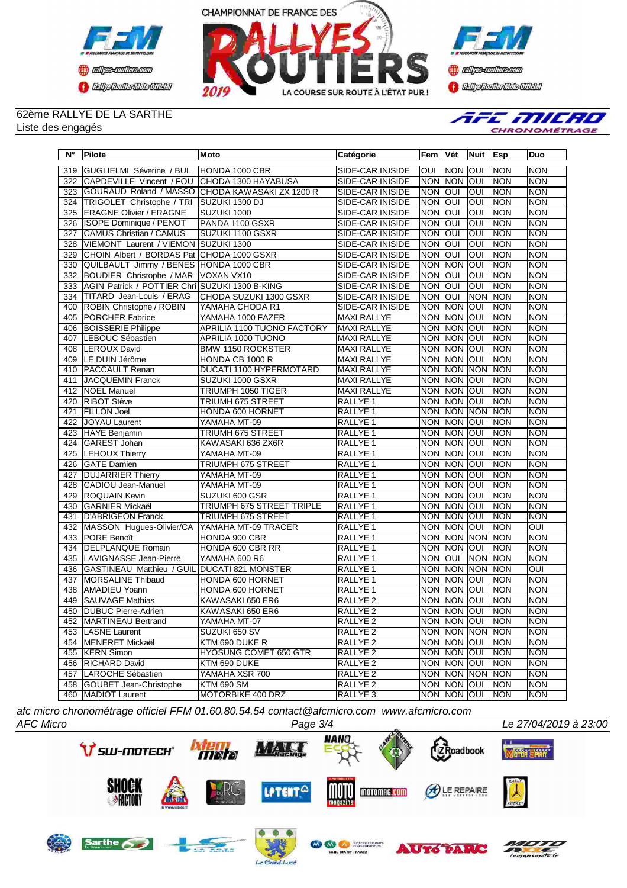



**Confederation Complementation** 

## 62ème RALLYE DE LA SARTHE

Liste des engagés



| $N^{\circ}$ | <b>Pilote</b>                                  | <b>Moto</b>                                     | Catégorie               | Fem        | Vét            | Nuit            | <b>Esp</b> | Duo                     |
|-------------|------------------------------------------------|-------------------------------------------------|-------------------------|------------|----------------|-----------------|------------|-------------------------|
| 319         | GUGLIELMI Séverine / BUL                       | HONDA 1000 CBR                                  | <b>SIDE-CAR INISIDE</b> | loui       | INON           | loui            | Inon       | <b>NON</b>              |
| 322         | CAPDEVILLE Vincent / FOU                       | CHODA 1300 HAYABUSA                             | <b>SIDE-CAR INISIDE</b> | <b>NON</b> | <b>NON</b>     | loui            | <b>NON</b> | <b>NON</b>              |
| 323         |                                                | GOURAUD Roland / MASSO CHODA KAWASAKI ZX 1200 R | SIDE-CAR INISIDE        | <b>NON</b> | loui           | l               | NON        | <b>NON</b>              |
| 324         | TRIGOLET Christophe / TRI                      | SUZUKI 1300 DJ                                  | SIDE-CAR INISIDE        | <b>NON</b> | loui           | loui            | <b>NON</b> | <b>NON</b>              |
| 325         | <b>ERAGNE Olivier / ERAGNE</b>                 | SUZUKI 1000                                     | SIDE-CAR INISIDE        | <b>NON</b> | loui           | loui            | <b>NON</b> | <b>NON</b>              |
| 326         | <b>ISOPE Dominique / PENOT</b>                 | PANDA 1100 GSXR                                 | SIDE-CAR INISIDE        | <b>NON</b> | loui           | OUI             | <b>NON</b> | <b>NON</b>              |
| 327         | CAMUS Christian / CAMUS                        | SUZUKI 1100 GSXR                                | SIDE-CAR INISIDE        | <b>NON</b> | loui           | IOUI            | <b>NON</b> | <b>NON</b>              |
| 328         | VIEMONT Laurent / VIEMON                       | SUZUKI 1300                                     | SIDE-CAR INISIDE        | <b>NON</b> | loui           | loui            | <b>NON</b> | <b>NON</b>              |
| 329         | CHOIN Albert / BORDAS Pat CHODA 1000 GSXR      |                                                 | SIDE-CAR INISIDE        | <b>NON</b> | loui           | loui            | <b>NON</b> | <b>NON</b>              |
| 330         | QUILBAULT Jimmy / BENES HONDA 1000 CBR         |                                                 | SIDE-CAR INISIDE        | <b>NON</b> | <b>NON</b>     | loui            | <b>NON</b> | <b>NON</b>              |
| 332         | <b>BOUDIER Christophe / MAR</b>                | VOXAN VX10                                      | <b>SIDE-CAR INISIDE</b> | <b>NON</b> | loui           | lon             | <b>NON</b> | <b>NON</b>              |
| 333         | AGIN Patrick / POTTIER Chri SUZUKI 1300 B-KING |                                                 | <b>SIDE-CAR INISIDE</b> | <b>NON</b> | loui           | JON             | <b>NON</b> | <b>NON</b>              |
| 334         | TITARD Jean-Louis / ERAG                       | <b>CHODA SUZUKI 1300 GSXR</b>                   | SIDE-CAR INISIDE        | <b>NON</b> | loui           | <b>NON</b>      | <b>NON</b> | <b>NON</b>              |
| 400         | ROBIN Christophe / ROBIN                       | YAMAHA CHODA R1                                 | SIDE-CAR INISIDE        | <b>NON</b> | <b>NON</b>     | loui            | <b>NON</b> | <b>NON</b>              |
| 405         | <b>PORCHER Fabrice</b>                         | YAMAHA 1000 FAZER                               | MAXI RALLYE             | <b>NON</b> | <b>NON</b>     | loui            | <b>NON</b> | <b>NON</b>              |
| 406         | <b>BOISSERIE Philippe</b>                      | APRILIA 1100 TUONO FACTORY                      | MAXI RALLYE             | <b>NON</b> | <b>NON</b>     | loui            | <b>NON</b> | <b>NON</b>              |
| 407         | LEBOUC Sébastien                               | <b>APRILIA 1000 TUONO</b>                       | <b>MAXI RALLYE</b>      | <b>NON</b> | <b>NON</b>     | loui            | <b>NON</b> | <b>NON</b>              |
| 408         | LEROUX David                                   | BMW 1150 ROCKSTER                               | MAXI RALLYE             | <b>NON</b> | <b>NON</b>     | lon             | <b>NON</b> | <b>NON</b>              |
| 409         | LE DUIN Jérôme                                 | HONDA CB 1000 R                                 | <b>MAXI RALLYE</b>      | <b>NON</b> | <b>NON</b>     | loui            | <b>NON</b> | <b>NON</b>              |
| 410         | <b>PACCAULT Renan</b>                          | <b>DUCATI 1100 HYPERMOTARD</b>                  | MAXI RALLYE             | <b>NON</b> | <b>NON</b>     | <b>NON</b>      | <b>NON</b> | <b>NON</b>              |
| 411         | <b>JACQUEMIN Franck</b>                        | SUZUKI 1000 GSXR                                | <b>MAXI RALLYE</b>      | <b>NON</b> | <b>NON</b>     | loui            | NON        | <b>NON</b>              |
| 412         | <b>NOEL Manuel</b>                             | <b>TRIUMPH 1050 TIGER</b>                       | <b>MAXI RALLYE</b>      | <b>NON</b> | <b>NON</b>     | <b>OUI</b>      | <b>NON</b> | <b>NON</b>              |
| 420         | <b>RIBOT Stève</b>                             | TRIUMH 675 STREET                               | RALLYE <sub>1</sub>     | <b>NON</b> | <b>NON</b>     | loui            | <b>NON</b> | <b>NON</b>              |
| 421         | FILLON Joël                                    | <b>HONDA 600 HORNET</b>                         | RALLYE <sub>1</sub>     | <b>NON</b> | <b>NON</b>     | <b>NON</b>      | <b>NON</b> | <b>NON</b>              |
| 422         | <b>JOYAU Laurent</b>                           | YAMAHA MT-09                                    | <b>RALLYE 1</b>         | <b>NON</b> | <b>NON</b>     | loui            | <b>NON</b> | <b>NON</b>              |
| 423         | <b>HAYE</b> Benjamin                           | TRIUMH 675 STREET                               | RALLYE <sub>1</sub>     | <b>NON</b> | <b>NON</b>     | loui            | <b>NON</b> | <b>NON</b>              |
| 424         | GAREST Johan                                   | KAWASAKI 636 ZX6R                               | RALLYE 1                | <b>NON</b> | <b>NON</b>     | loui            | <b>NON</b> | <b>NON</b>              |
| 425         | LEHOUX Thierry                                 | YAMAHA MT-09                                    | RALLYE 1                | <b>NON</b> | <b>NON</b>     | loui            | <b>NON</b> | <b>NON</b>              |
| 426         | <b>GATE Damien</b>                             | <b>TRIUMPH 675 STREET</b>                       | RALLYE 1                | <b>NON</b> | <b>NON</b>     | loui            | <b>NON</b> | <b>NON</b>              |
| 427         | <b>DUJARRIER Thierry</b>                       | YAMAHA MT-09                                    | RALLYE 1                | <b>NON</b> | <b>NON</b>     | loui            | <b>NON</b> | <b>NON</b>              |
| 428         | <b>CADIOU Jean-Manuel</b>                      | YAMAHA MT-09                                    | <b>RALLYE 1</b>         | <b>NON</b> | <b>NON</b>     | loui            | NON        | <b>NON</b>              |
| 429         | <b>ROQUAIN Kevin</b>                           | SUZUKI 600 GSR                                  | RALLYE <sub>1</sub>     | <b>NON</b> | <b>NON</b>     | lon             | <b>NON</b> | <b>NON</b>              |
| 430         | <b>GARNIER Mickaël</b>                         | TRIUMPH 675 STREET TRIPLE                       | RALLYE <sub>1</sub>     | <b>NON</b> | <b>NON</b>     | loui            | NON        | <b>NON</b>              |
| 431         | D'ABRIGEON Franck                              | <b>TRIUMPH 675 STREET</b>                       | <b>RALLYE 1</b>         | <b>NON</b> | <b>NON</b>     | loui            | <b>NON</b> | <b>NON</b>              |
| 432         | MASSON Hugues-Olivier/CA                       | YAMAHA MT-09 TRACER                             | RALLYE 1                | <b>NON</b> | <b>NON</b>     | loui            | <b>NON</b> | $\overline{\text{OUI}}$ |
| 433         | <b>PORE</b> Benoît                             | HONDA 900 CBR                                   | RALLYE 1                | <b>NON</b> | <b>NON</b>     | <b>I</b> NON    | <b>NON</b> | <b>NON</b>              |
| 434         | <b>DELPLANQUE Romain</b>                       | HONDA 600 CBR RR                                | <b>RALLYE 1</b>         | <b>NON</b> | <b>NON</b>     | loui            | <b>NON</b> | <b>NON</b>              |
| 435         | LAVIGNASSE Jean-Pierre                         | YAMAHA 600 R6                                   | RALLYE 1                | <b>NON</b> | loui           | <b>NON</b>      | <b>NON</b> | <b>NON</b>              |
| 436         | GASTINEAU Matthieu / GUIL DUCATI 821 MONSTER   |                                                 | RALLYE <sub>1</sub>     | <b>NON</b> | <b>NON</b>     | <b>NON</b>      | <b>NON</b> | $\overline{\text{OUI}}$ |
| 437         | MORSALINE Thibaud                              | HONDA 600 HORNET                                | RALLYE <sub>1</sub>     | <b>NON</b> | <b>NON</b>     | Jon             | <b>NON</b> | <b>NON</b>              |
| 438         | AMADIEU Yoann                                  | HONDA 600 HORNET                                | RALLYE 1                | <b>NON</b> | <b>NON</b>     | loui            | <b>NON</b> | <b>NON</b>              |
| 449         | <b>SAUVAGE Mathias</b>                         | KAWASAKI 650 ER6                                | RALLYE <sub>2</sub>     | <b>NON</b> | <b>NON</b>     | loui            | <b>NON</b> | <b>NON</b>              |
| 450         | <b>DUBUC Pierre-Adrien</b>                     | KAWASAKI 650 ER6                                | RALLYE <sub>2</sub>     | <b>NON</b> | <b>NON</b>     | loni            | <b>NON</b> | <b>NON</b>              |
|             | 452   MARTINEAU Bertrand                       | YAMAHA MT-07                                    | RALLYE <sub>2</sub>     |            | NON MON JOUI   |                 | <b>NON</b> | <b>NON</b>              |
|             | 453 LASNE Laurent                              | SUZUKI 650 SV                                   | RALLYE <sub>2</sub>     |            |                | NON NON NON NON |            | <b>NON</b>              |
| 454         | MENERET Mickaël                                | KTM 690 DUKE R                                  | RALLYE <sub>2</sub>     |            | NON NON OUI    |                 | <b>NON</b> | <b>NON</b>              |
|             | 455   KERN Simon                               | HYOSUNG COMET 650 GTR                           | RALLYE 2                |            | Inon Inon Ioui |                 | <b>NON</b> | <b>NON</b>              |
| 456         | <b>RICHARD David</b>                           | KTM 690 DUKE                                    | RALLYE <sub>2</sub>     |            | NON NON OUI    |                 | <b>NON</b> | <b>NON</b>              |
|             | 457 ILAROCHE Sébastien                         | YAMAHA XSR 700                                  | RALLYE <sub>2</sub>     |            | Inon Inon Inon |                 | <b>NON</b> | <b>NON</b>              |
| 458         | <b>GOUBET Jean-Christophe</b>                  | <b>KTM 690 SM</b>                               | RALLYE <sub>2</sub>     |            | NON NON OUI    |                 | <b>NON</b> | <b>NON</b>              |
| 460         | MADIOT Laurent                                 | MOTORBIKE 400 DRZ                               | RALLYE <sub>3</sub>     |            | NON NON OUI    |                 | <b>NON</b> | <b>NON</b>              |